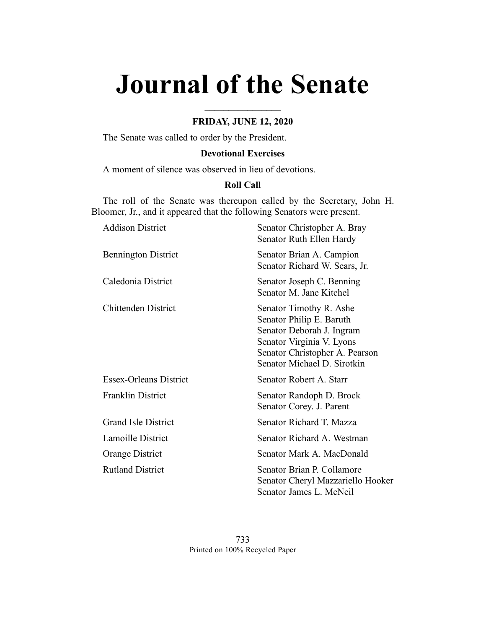# **Journal of the Senate**

# **FRIDAY, JUNE 12, 2020**

**\_\_\_\_\_\_\_\_\_\_\_\_\_\_\_\_**

The Senate was called to order by the President.

# **Devotional Exercises**

A moment of silence was observed in lieu of devotions.

# **Roll Call**

The roll of the Senate was thereupon called by the Secretary, John H. Bloomer, Jr., and it appeared that the following Senators were present.

| <b>Addison District</b>       | Senator Christopher A. Bray<br>Senator Ruth Ellen Hardy                                                                                                                        |
|-------------------------------|--------------------------------------------------------------------------------------------------------------------------------------------------------------------------------|
| <b>Bennington District</b>    | Senator Brian A. Campion<br>Senator Richard W. Sears, Jr.                                                                                                                      |
| Caledonia District            | Senator Joseph C. Benning<br>Senator M. Jane Kitchel                                                                                                                           |
| <b>Chittenden District</b>    | Senator Timothy R. Ashe<br>Senator Philip E. Baruth<br>Senator Deborah J. Ingram<br>Senator Virginia V. Lyons<br>Senator Christopher A. Pearson<br>Senator Michael D. Sirotkin |
| <b>Essex-Orleans District</b> | Senator Robert A. Starr                                                                                                                                                        |
| <b>Franklin District</b>      | Senator Randoph D. Brock<br>Senator Corey. J. Parent                                                                                                                           |
| <b>Grand Isle District</b>    | Senator Richard T. Mazza                                                                                                                                                       |
| Lamoille District             | Senator Richard A. Westman                                                                                                                                                     |
| Orange District               | Senator Mark A. MacDonald                                                                                                                                                      |
| <b>Rutland District</b>       | Senator Brian P. Collamore<br>Senator Cheryl Mazzariello Hooker<br>Senator James L. McNeil                                                                                     |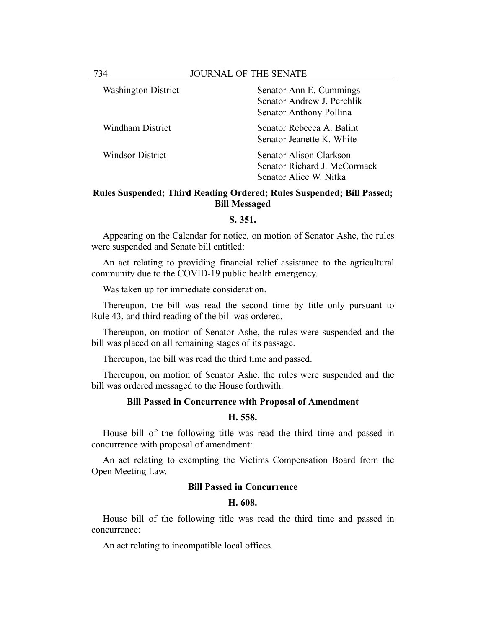| <b>Washington District</b> | Senator Ann E. Cummings      |
|----------------------------|------------------------------|
|                            | Senator Andrew J. Perchlik   |
|                            | Senator Anthony Pollina      |
| <b>Windham District</b>    | Senator Rebecca A. Balint    |
|                            | Senator Jeanette K. White    |
| <b>Windsor District</b>    | Senator Alison Clarkson      |
|                            | Senator Richard J. McCormack |
|                            | Senator Alice W. Nitka       |

# **Rules Suspended; Third Reading Ordered; Rules Suspended; Bill Passed; Bill Messaged**

#### **S. 351.**

Appearing on the Calendar for notice, on motion of Senator Ashe, the rules were suspended and Senate bill entitled:

An act relating to providing financial relief assistance to the agricultural community due to the COVID-19 public health emergency.

Was taken up for immediate consideration.

Thereupon, the bill was read the second time by title only pursuant to Rule 43, and third reading of the bill was ordered.

Thereupon, on motion of Senator Ashe, the rules were suspended and the bill was placed on all remaining stages of its passage.

Thereupon, the bill was read the third time and passed.

Thereupon, on motion of Senator Ashe, the rules were suspended and the bill was ordered messaged to the House forthwith.

#### **Bill Passed in Concurrence with Proposal of Amendment**

#### **H. 558.**

House bill of the following title was read the third time and passed in concurrence with proposal of amendment:

An act relating to exempting the Victims Compensation Board from the Open Meeting Law.

## **Bill Passed in Concurrence**

#### **H. 608.**

House bill of the following title was read the third time and passed in concurrence:

An act relating to incompatible local offices.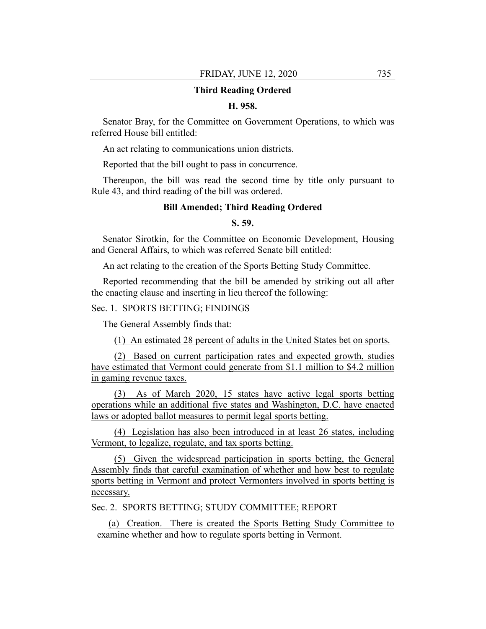## **Third Reading Ordered**

## **H. 958.**

Senator Bray, for the Committee on Government Operations, to which was referred House bill entitled:

An act relating to communications union districts.

Reported that the bill ought to pass in concurrence.

Thereupon, the bill was read the second time by title only pursuant to Rule 43, and third reading of the bill was ordered.

## **Bill Amended; Third Reading Ordered**

# **S. 59.**

Senator Sirotkin, for the Committee on Economic Development, Housing and General Affairs, to which was referred Senate bill entitled:

An act relating to the creation of the Sports Betting Study Committee.

Reported recommending that the bill be amended by striking out all after the enacting clause and inserting in lieu thereof the following:

Sec. 1. SPORTS BETTING; FINDINGS

The General Assembly finds that:

(1) An estimated 28 percent of adults in the United States bet on sports.

(2) Based on current participation rates and expected growth, studies have estimated that Vermont could generate from \$1.1 million to \$4.2 million in gaming revenue taxes.

(3) As of March 2020, 15 states have active legal sports betting operations while an additional five states and Washington, D.C. have enacted laws or adopted ballot measures to permit legal sports betting.

(4) Legislation has also been introduced in at least 26 states, including Vermont, to legalize, regulate, and tax sports betting.

(5) Given the widespread participation in sports betting, the General Assembly finds that careful examination of whether and how best to regulate sports betting in Vermont and protect Vermonters involved in sports betting is necessary.

Sec. 2. SPORTS BETTING; STUDY COMMITTEE; REPORT

(a) Creation. There is created the Sports Betting Study Committee to examine whether and how to regulate sports betting in Vermont.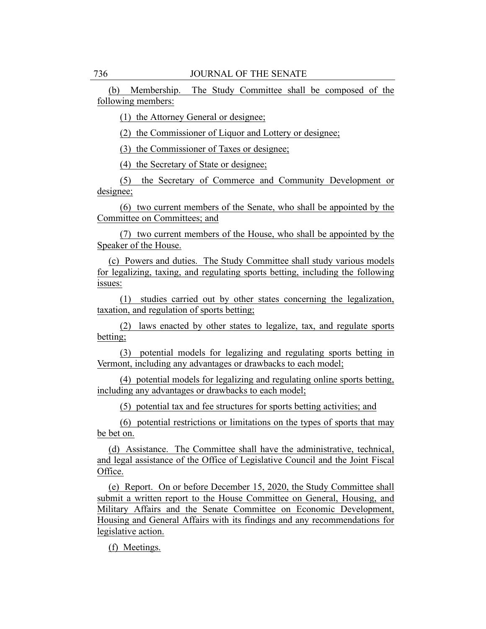(b) Membership. The Study Committee shall be composed of the following members:

(1) the Attorney General or designee;

(2) the Commissioner of Liquor and Lottery or designee;

(3) the Commissioner of Taxes or designee;

(4) the Secretary of State or designee;

(5) the Secretary of Commerce and Community Development or designee;

(6) two current members of the Senate, who shall be appointed by the Committee on Committees; and

(7) two current members of the House, who shall be appointed by the Speaker of the House.

(c) Powers and duties. The Study Committee shall study various models for legalizing, taxing, and regulating sports betting, including the following issues:

(1) studies carried out by other states concerning the legalization, taxation, and regulation of sports betting;

(2) laws enacted by other states to legalize, tax, and regulate sports betting;

(3) potential models for legalizing and regulating sports betting in Vermont, including any advantages or drawbacks to each model;

(4) potential models for legalizing and regulating online sports betting, including any advantages or drawbacks to each model;

(5) potential tax and fee structures for sports betting activities; and

(6) potential restrictions or limitations on the types of sports that may be bet on.

(d) Assistance. The Committee shall have the administrative, technical, and legal assistance of the Office of Legislative Council and the Joint Fiscal Office.

(e) Report. On or before December 15, 2020, the Study Committee shall submit a written report to the House Committee on General, Housing, and Military Affairs and the Senate Committee on Economic Development, Housing and General Affairs with its findings and any recommendations for legislative action.

(f) Meetings.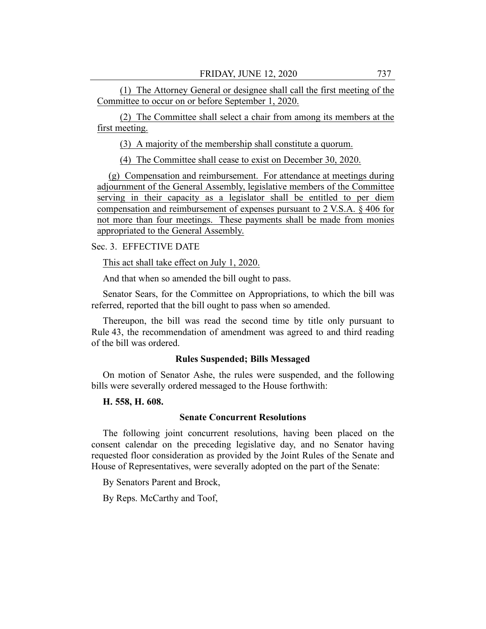(1) The Attorney General or designee shall call the first meeting of the Committee to occur on or before September 1, 2020.

(2) The Committee shall select a chair from among its members at the first meeting.

(3) A majority of the membership shall constitute a quorum.

(4) The Committee shall cease to exist on December 30, 2020.

(g) Compensation and reimbursement. For attendance at meetings during adjournment of the General Assembly, legislative members of the Committee serving in their capacity as a legislator shall be entitled to per diem compensation and reimbursement of expenses pursuant to 2 V.S.A. § 406 for not more than four meetings. These payments shall be made from monies appropriated to the General Assembly.

# Sec. 3. EFFECTIVE DATE

This act shall take effect on July 1, 2020.

And that when so amended the bill ought to pass.

Senator Sears, for the Committee on Appropriations, to which the bill was referred, reported that the bill ought to pass when so amended.

Thereupon, the bill was read the second time by title only pursuant to Rule 43, the recommendation of amendment was agreed to and third reading of the bill was ordered.

## **Rules Suspended; Bills Messaged**

On motion of Senator Ashe, the rules were suspended, and the following bills were severally ordered messaged to the House forthwith:

#### **H. 558, H. 608.**

## **Senate Concurrent Resolutions**

The following joint concurrent resolutions, having been placed on the consent calendar on the preceding legislative day, and no Senator having requested floor consideration as provided by the Joint Rules of the Senate and House of Representatives, were severally adopted on the part of the Senate:

By Senators Parent and Brock,

By Reps. McCarthy and Toof,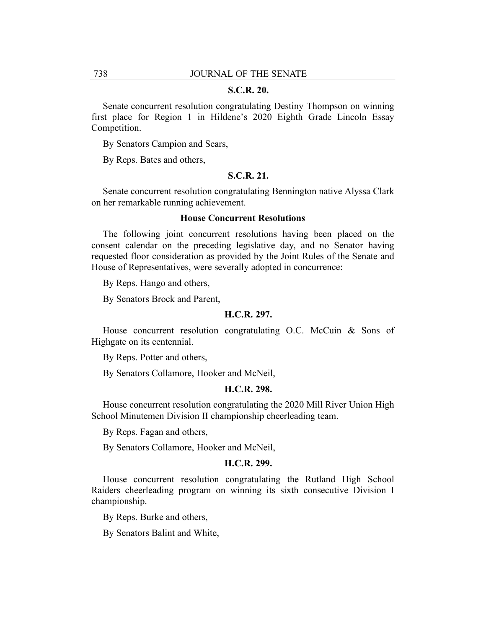#### **S.C.R. 20.**

Senate concurrent resolution congratulating Destiny Thompson on winning first place for Region 1 in Hildene's 2020 Eighth Grade Lincoln Essay Competition.

By Senators Campion and Sears,

By Reps. Bates and others,

# **S.C.R. 21.**

Senate concurrent resolution congratulating Bennington native Alyssa Clark on her remarkable running achievement.

## **House Concurrent Resolutions**

The following joint concurrent resolutions having been placed on the consent calendar on the preceding legislative day, and no Senator having requested floor consideration as provided by the Joint Rules of the Senate and House of Representatives, were severally adopted in concurrence:

By Reps. Hango and others,

By Senators Brock and Parent,

#### **H.C.R. 297.**

House concurrent resolution congratulating O.C. McCuin & Sons of Highgate on its centennial.

By Reps. Potter and others,

By Senators Collamore, Hooker and McNeil,

## **H.C.R. 298.**

House concurrent resolution congratulating the 2020 Mill River Union High School Minutemen Division II championship cheerleading team.

By Reps. Fagan and others,

By Senators Collamore, Hooker and McNeil,

#### **H.C.R. 299.**

House concurrent resolution congratulating the Rutland High School Raiders cheerleading program on winning its sixth consecutive Division I championship.

By Reps. Burke and others,

By Senators Balint and White,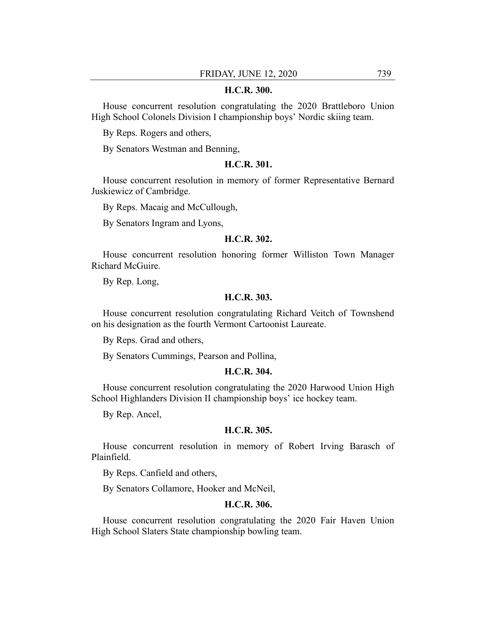## **H.C.R. 300.**

House concurrent resolution congratulating the 2020 Brattleboro Union High School Colonels Division I championship boys' Nordic skiing team.

By Reps. Rogers and others,

By Senators Westman and Benning,

## **H.C.R. 301.**

House concurrent resolution in memory of former Representative Bernard Juskiewicz of Cambridge.

By Reps. Macaig and McCullough,

By Senators Ingram and Lyons,

#### **H.C.R. 302.**

House concurrent resolution honoring former Williston Town Manager Richard McGuire.

By Rep. Long,

## **H.C.R. 303.**

House concurrent resolution congratulating Richard Veitch of Townshend on his designation as the fourth Vermont Cartoonist Laureate.

By Reps. Grad and others,

By Senators Cummings, Pearson and Pollina,

#### **H.C.R. 304.**

House concurrent resolution congratulating the 2020 Harwood Union High School Highlanders Division II championship boys' ice hockey team.

By Rep. Ancel,

#### **H.C.R. 305.**

House concurrent resolution in memory of Robert Irving Barasch of Plainfield.

By Reps. Canfield and others,

By Senators Collamore, Hooker and McNeil,

## **H.C.R. 306.**

House concurrent resolution congratulating the 2020 Fair Haven Union High School Slaters State championship bowling team.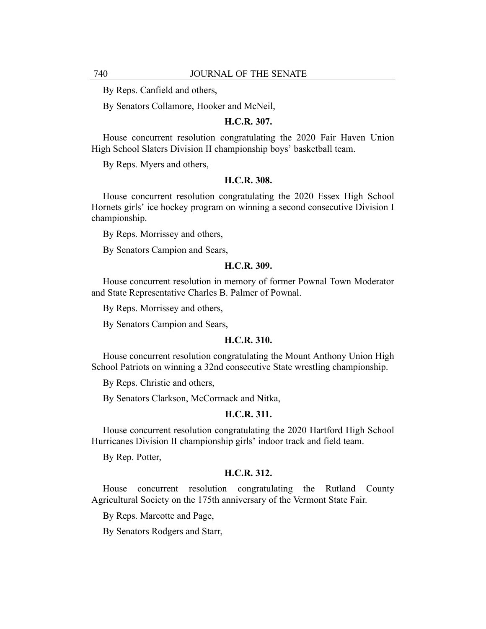By Reps. Canfield and others,

By Senators Collamore, Hooker and McNeil,

## **H.C.R. 307.**

House concurrent resolution congratulating the 2020 Fair Haven Union High School Slaters Division II championship boys' basketball team.

By Reps. Myers and others,

#### **H.C.R. 308.**

House concurrent resolution congratulating the 2020 Essex High School Hornets girls' ice hockey program on winning a second consecutive Division I championship.

By Reps. Morrissey and others,

By Senators Campion and Sears,

#### **H.C.R. 309.**

House concurrent resolution in memory of former Pownal Town Moderator and State Representative Charles B. Palmer of Pownal.

By Reps. Morrissey and others,

By Senators Campion and Sears,

## **H.C.R. 310.**

House concurrent resolution congratulating the Mount Anthony Union High School Patriots on winning a 32nd consecutive State wrestling championship.

By Reps. Christie and others,

By Senators Clarkson, McCormack and Nitka,

## **H.C.R. 311.**

House concurrent resolution congratulating the 2020 Hartford High School Hurricanes Division II championship girls' indoor track and field team.

By Rep. Potter,

#### **H.C.R. 312.**

House concurrent resolution congratulating the Rutland County Agricultural Society on the 175th anniversary of the Vermont State Fair.

By Reps. Marcotte and Page,

By Senators Rodgers and Starr,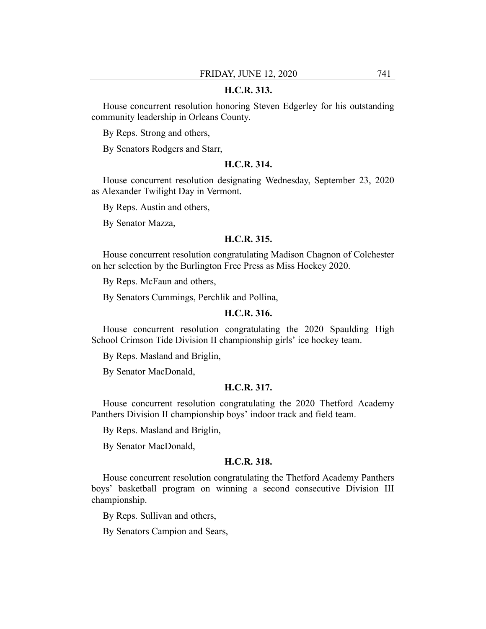## **H.C.R. 313.**

House concurrent resolution honoring Steven Edgerley for his outstanding community leadership in Orleans County.

By Reps. Strong and others,

By Senators Rodgers and Starr,

#### **H.C.R. 314.**

House concurrent resolution designating Wednesday, September 23, 2020 as Alexander Twilight Day in Vermont.

By Reps. Austin and others,

By Senator Mazza,

#### **H.C.R. 315.**

House concurrent resolution congratulating Madison Chagnon of Colchester on her selection by the Burlington Free Press as Miss Hockey 2020.

By Reps. McFaun and others,

By Senators Cummings, Perchlik and Pollina,

#### **H.C.R. 316.**

House concurrent resolution congratulating the 2020 Spaulding High School Crimson Tide Division II championship girls' ice hockey team.

By Reps. Masland and Briglin,

By Senator MacDonald,

#### **H.C.R. 317.**

House concurrent resolution congratulating the 2020 Thetford Academy Panthers Division II championship boys' indoor track and field team.

By Reps. Masland and Briglin,

By Senator MacDonald,

#### **H.C.R. 318.**

House concurrent resolution congratulating the Thetford Academy Panthers boys' basketball program on winning a second consecutive Division III championship.

By Reps. Sullivan and others,

By Senators Campion and Sears,